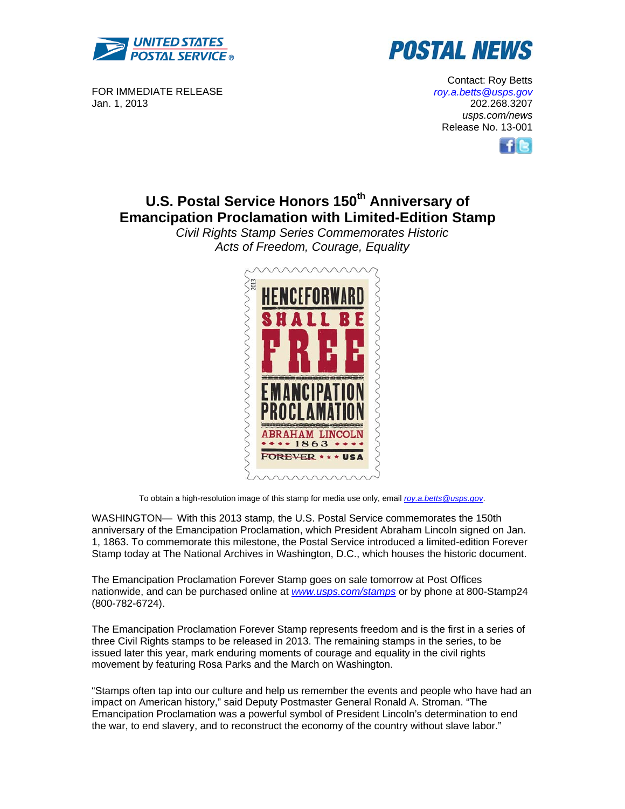



FOR IMMEDIATE RELEASE Jan. 1, 2013

Contact: Roy Betts *roy.a.betts@usps.gov* 202.268.3207 *usps.com/news*  Release No. 13-001



# **U.S. Postal Service Honors 150<sup>th</sup> Anniversary of Emancipation Proclamation with Limited-Edition Stamp**

*Civil Rights Stamp Series Commemorates Historic Acts of Freedom, Courage, Equality* 



To obtain a high-resolution image of this stamp for media use only, email *roy.a.betts@usps.gov*.

WASHINGTON— With this 2013 stamp, the U.S. Postal Service commemorates the 150th anniversary of the Emancipation Proclamation, which President Abraham Lincoln signed on Jan. 1, 1863. To commemorate this milestone, the Postal Service introduced a limited-edition Forever Stamp today at The National Archives in Washington, D.C., which houses the historic document.

The Emancipation Proclamation Forever Stamp goes on sale tomorrow at Post Offices nationwide, and can be purchased online at *www.usps.com/stamps* or by phone at 800-Stamp24 (800-782-6724).

The Emancipation Proclamation Forever Stamp represents freedom and is the first in a series of three Civil Rights stamps to be released in 2013. The remaining stamps in the series, to be issued later this year, mark enduring moments of courage and equality in the civil rights movement by featuring Rosa Parks and the March on Washington.

"Stamps often tap into our culture and help us remember the events and people who have had an impact on American history," said Deputy Postmaster General Ronald A. Stroman. "The Emancipation Proclamation was a powerful symbol of President Lincoln's determination to end the war, to end slavery, and to reconstruct the economy of the country without slave labor."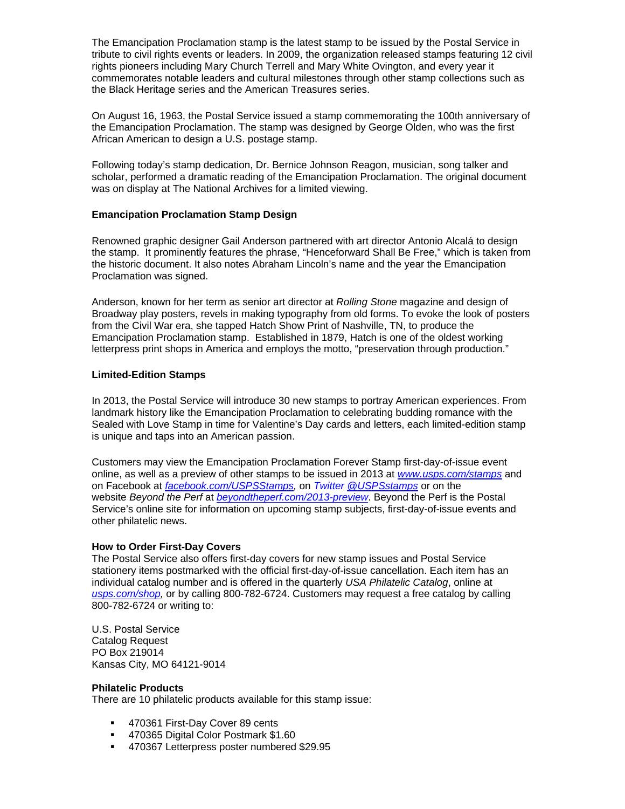The Emancipation Proclamation stamp is the latest stamp to be issued by the Postal Service in tribute to civil rights events or leaders. In 2009, the organization released stamps featuring 12 civil rights pioneers including Mary Church Terrell and Mary White Ovington, and every year it commemorates notable leaders and cultural milestones through other stamp collections such as the Black Heritage series and the American Treasures series.

On August 16, 1963, the Postal Service issued a stamp commemorating the 100th anniversary of the Emancipation Proclamation. The stamp was designed by George Olden, who was the first African American to design a U.S. postage stamp.

Following today's stamp dedication, Dr. Bernice Johnson Reagon, musician, song talker and scholar, performed a dramatic reading of the Emancipation Proclamation. The original document was on display at The National Archives for a limited viewing.

# **Emancipation Proclamation Stamp Design**

Renowned graphic designer Gail Anderson partnered with art director Antonio Alcalá to design the stamp. It prominently features the phrase, "Henceforward Shall Be Free," which is taken from the historic document. It also notes Abraham Lincoln's name and the year the Emancipation Proclamation was signed.

Anderson, known for her term as senior art director at *Rolling Stone* magazine and design of Broadway play posters, revels in making typography from old forms. To evoke the look of posters from the Civil War era, she tapped Hatch Show Print of Nashville, TN, to produce the Emancipation Proclamation stamp. Established in 1879, Hatch is one of the oldest working letterpress print shops in America and employs the motto, "preservation through production."

# **Limited-Edition Stamps**

In 2013, the Postal Service will introduce 30 new stamps to portray American experiences. From landmark history like the Emancipation Proclamation to celebrating budding romance with the Sealed with Love Stamp in time for Valentine's Day cards and letters, each limited-edition stamp is unique and taps into an American passion.

Customers may view the Emancipation Proclamation Forever Stamp first-day-of-issue event online, as well as a preview of other stamps to be issued in 2013 at *www.usps.com/stamps* and on Facebook at *facebook.com/USPSStamps,* on *Twitter @USPSstamps* or on the website *Beyond the Perf* at *beyondtheperf.com/2013-preview*. Beyond the Perf is the Postal Service's online site for information on upcoming stamp subjects, first-day-of-issue events and other philatelic news.

### **How to Order First-Day Covers**

The Postal Service also offers first-day covers for new stamp issues and Postal Service stationery items postmarked with the official first-day-of-issue cancellation. Each item has an individual catalog number and is offered in the quarterly *USA Philatelic Catalog*, online at *usps.com/shop,* or by calling 800-782-6724. Customers may request a free catalog by calling 800-782-6724 or writing to:

U.S. Postal Service Catalog Request PO Box 219014 Kansas City, MO 64121-9014

### **Philatelic Products**

There are 10 philatelic products available for this stamp issue:

- 470361 First-Day Cover 89 cents
- 470365 Digital Color Postmark \$1.60
- 470367 Letterpress poster numbered \$29.95